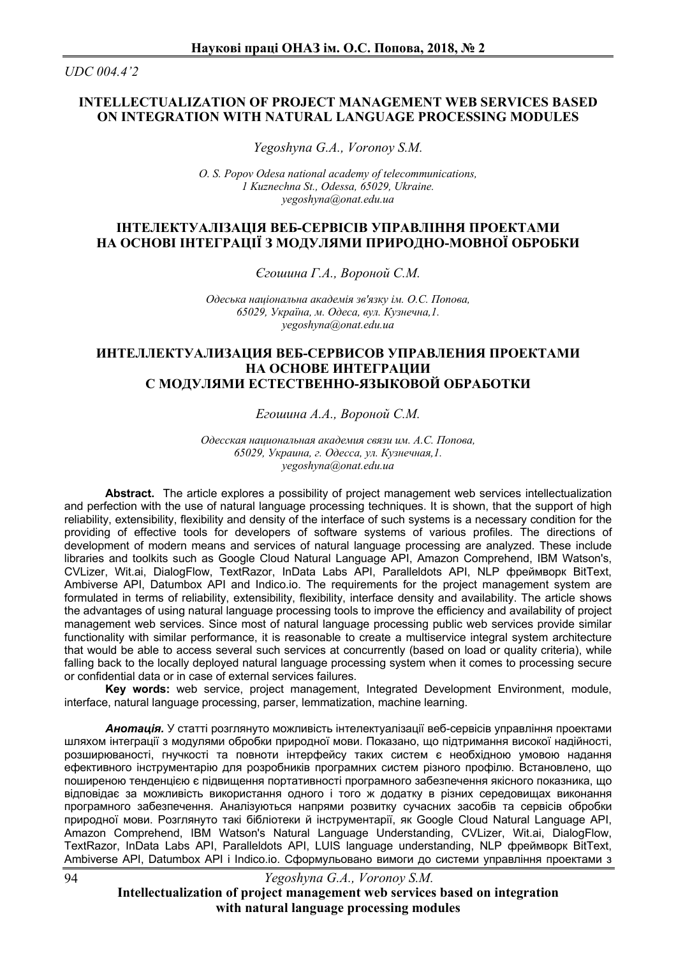*UDC 004.4'2*

## **INTELLECTUALIZATION OF PROJECT MANAGEMENT WEB SERVICES BASED ON INTEGRATION WITH NATURAL LANGUAGE PROCESSING MODULES**

*Yegoshyna G.A., Voronoy S.M.*

*O. S. Popov Odesa national academy of telecommunications, 1 Kuznechna St., Odessa, 65029, Ukraine. yegoshyna@onat.edu.ua*

## **ІНТЕЛЕКТУАЛІЗАЦІЯ ВЕБ-СЕРВІСІВ УПРАВЛІННЯ ПРОЕКТАМИ НА ОСНОВІ ІНТЕГРАЦІЇ З МОДУЛЯМИ ПРИРОДНО-МОВНОЇ ОБРОБКИ**

*Єгошина Г.А., Вороной С.М.*

*Одеська національна академія зв'язку ім. О.С. Попова, 65029, Україна, м. Одеса, вул. Кузнечна,1. yegoshyna@onat.edu.ua*

## **ИНТЕЛЛЕКТУАЛИЗАЦИЯ ВЕБ-СЕРВИСОВ УПРАВЛЕНИЯ ПРОЕКТАМИ НА ОСНОВЕ ИНТЕГРАЦИИ С МОДУЛЯМИ ЕСТЕСТВЕННО-ЯЗЫКОВОЙ ОБРАБОТКИ**

*Егошина А.А., Вороной С.М.* 

*Одесская национальная академия связи им. А.С. Попова, 65029, Украина, г. Одесса, ул. Кузнечная,1. yegoshyna@onat.edu.ua*

**Abstract.** The article explores a possibility of project management web services intellectualization and perfection with the use of natural language processing techniques. It is shown, that the support of high reliability, extensibility, flexibility and density of the interface of such systems is a necessary condition for the providing of effective tools for developers of software systems of various profiles. The directions of development of modern means and services of natural language processing are analyzed. These include libraries and toolkits such as Google Cloud Natural Language API, Amazon Comprehend, IBM Watson's, CVLizer, Wit.ai, DialogFlow, TextRazor, InData Labs API, Paralleldots API, NLP фреймворк BitText, Ambiverse API, Datumbox API and Indico.io. The requirements for the project management system are formulated in terms of reliability, extensibility, flexibility, interface density and availability. The article shows the advantages of using natural language processing tools to improve the efficiency and availability of project management web services. Since most of natural language processing public web services provide similar functionality with similar performance, it is reasonable to create a multiservice integral system architecture that would be able to access several such services at concurrently (based on load or quality criteria), while falling back to the locally deployed natural language processing system when it comes to processing secure or confidential data or in case of external services failures.

**Key words:** web service, project management, Integrated Development Environment, module, interface, natural language processing, parser, lemmatization, machine learning.

*Анотація.* У статті розглянуто можливість інтелектуалізації веб-сервісів управління проектами шляхом інтеграції з модулями обробки природної мови. Показано, що підтримання високої надійності, розширюваності, гнучкості та повноти інтерфейсу таких систем є необхідною умовою надання ефективного інструментарію для розробників програмних систем різного профілю. Встановлено, що поширеною тенденцією є підвищення портативності програмного забезпечення якісного показника, що відповідає за можливість використання одного і того ж додатку в різних середовищах виконання програмного забезпечення. Аналізуються напрями розвитку сучасних засобів та сервісів обробки природної мови. Розглянуто такі бібліотеки й інструментарії, як Google Cloud Natural Language API, Amazon Comprehend, IBM Watson's Natural Language Understanding, CVLizer, Wit.ai, DialogFlow, TextRazor, InData Labs API, Paralleldots API, LUIS language understanding, NLP фреймворк BitText, Ambiverse API, Datumbox API і Indico.io. Сформульовано вимоги до системи управління проектами з

*Yegoshyna G.A., Voronoy S.M.*

**Intellectualization of project management web services based on integration with natural language processing modules**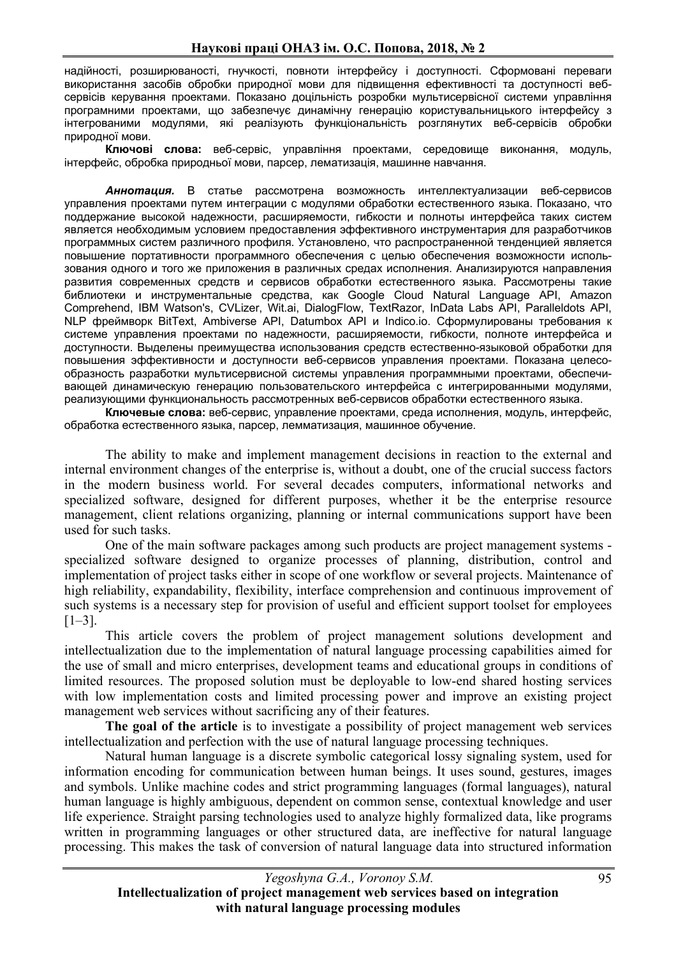надійності, розширюваності, гнучкості, повноти інтерфейсу і доступності. Сформовані переваги використання засобів обробки природної мови для підвищення ефективності та доступності вебсервісів керування проектами. Показано доцільність розробки мультисервісної системи управління програмними проектами, що забезпечує динамічну генерацію користувальницького інтерфейсу з інтегрованими модулями, які реалізують функціональність розглянутих веб-сервісів обробки природної мови.

**Ключові слова:** веб-сервіс, управління проектами, середовище виконання, модуль, інтерфейс, обробка природньої мови, парсер, лематизація, машинне навчання.

*Аннотация.* В статье рассмотрена возможность интеллектуализации веб-сервисов управления проектами путем интеграции с модулями обработки естественного языка. Показано, что поддержание высокой надежности, расширяемости, гибкости и полноты интерфейса таких систем является необходимым условием предоставления эффективного инструментария для разработчиков программных систем различного профиля. Установлено, что распространенной тенденцией является повышение портативности программного обеспечения с целью обеспечения возможности использования одного и того же приложения в различных средах исполнения. Анализируются направления развития современных средств и сервисов обработки естественного языка. Рассмотрены такие библиотеки и инструментальные средства, как Google Cloud Natural Language API, Amazon Comprehend, IBM Watson's, CVLizer, Wit.ai, DialogFlow, TextRazor, InData Labs API, Paralleldots API, NLP фреймворк BitText, Ambiverse API, Datumbox API и Indico.io. Сформулированы требования к системе управления проектами по надежности, расширяемости, гибкости, полноте интерфейса и доступности. Выделены преимущества использования средств естественно-языковой обработки для повышения эффективности и доступности веб-сервисов управления проектами. Показана целесообразность разработки мультисервисной системы управления программными проектами, обеспечивающей динамическую генерацию пользовательского интерфейса с интегрированными модулями, реализующими функциональность рассмотренных веб-сервисов обработки естественного языка.

**Ключевые слова:** веб-сервис, управление проектами, среда исполнения, модуль, интерфейс, обработка естественного языка, парсер, лемматизация, машинное обучение.

The ability to make and implement management decisions in reaction to the external and internal environment changes of the enterprise is, without a doubt, one of the crucial success factors in the modern business world. For several decades computers, informational networks and specialized software, designed for different purposes, whether it be the enterprise resource management, client relations organizing, planning or internal communications support have been used for such tasks.

One of the main software packages among such products are project management systems specialized software designed to organize processes of planning, distribution, control and implementation of project tasks either in scope of one workflow or several projects. Maintenance of high reliability, expandability, flexibility, interface comprehension and continuous improvement of such systems is a necessary step for provision of useful and efficient support toolset for employees  $[1-3]$ .

This article covers the problem of project management solutions development and intellectualization due to the implementation of natural language processing capabilities aimed for the use of small and micro enterprises, development teams and educational groups in conditions of limited resources. The proposed solution must be deployable to low-end shared hosting services with low implementation costs and limited processing power and improve an existing project management web services without sacrificing any of their features.

The goal of the article is to investigate a possibility of project management web services intellectualization and perfection with the use of natural language processing techniques.

Natural human language is a discrete symbolic categorical lossy signaling system, used for information encoding for communication between human beings. It uses sound, gestures, images and symbols. Unlike machine codes and strict programming languages (formal languages), natural human language is highly ambiguous, dependent on common sense, contextual knowledge and user life experience. Straight parsing technologies used to analyze highly formalized data, like programs written in programming languages or other structured data, are ineffective for natural language processing. This makes the task of conversion of natural language data into structured information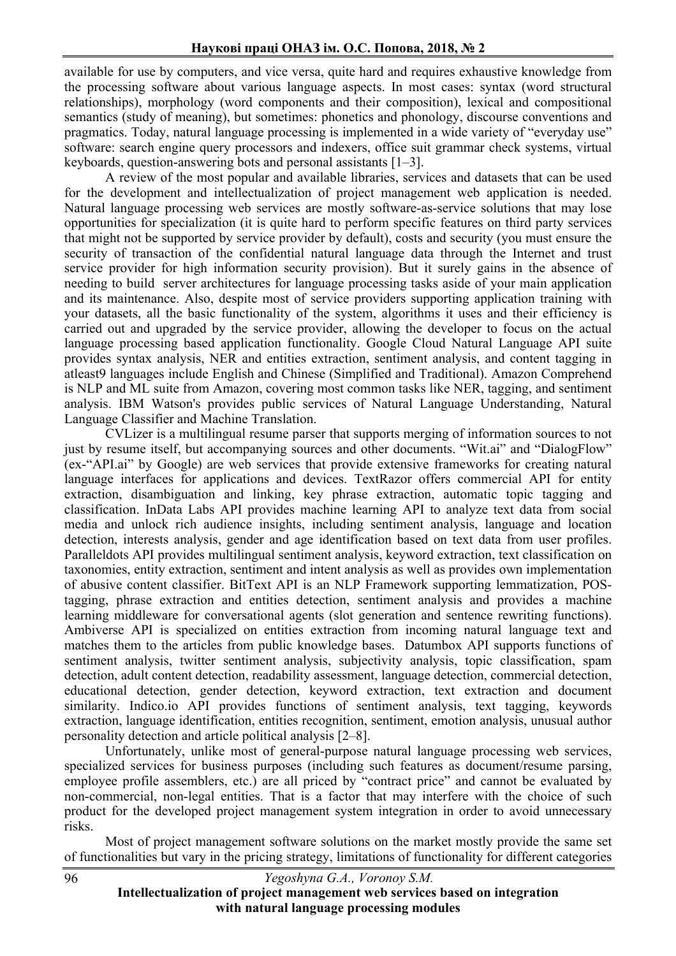available for use by computers, and vice versa, quite hard and requires exhaustive knowledge from the processing software about various language aspects. In most cases: syntax (word structural relationships), morphology (word components and their composition), lexical and compositional semantics (study of meaning), but sometimes: phonetics and phonology, discourse conventions and pragmatics. Today, natural language processing is implemented in a wide variety of "everyday use" software: search engine query processors and indexers, office suit grammar check systems, virtual keyboards, question-answering bots and personal assistants [1–3].

A review of the most popular and available libraries, services and datasets that can be used for the development and intellectualization of project management web application is needed. Natural language processing web services are mostly software-as-service solutions that may lose opportunities for specialization (it is quite hard to perform specific features on third party services that might not be supported by service provider by default), costs and security (you must ensure the security of transaction of the confidential natural language data through the Internet and trust service provider for high information security provision). But it surely gains in the absence of needing to build server architectures for language processing tasks aside of your main application and its maintenance. Also, despite most of service providers supporting application training with your datasets, all the basic functionality of the system, algorithms it uses and their efficiency is carried out and upgraded by the service provider, allowing the developer to focus on the actual language processing based application functionality. Google Cloud Natural Language API suite provides syntax analysis, NER and entities extraction, sentiment analysis, and content tagging in atleast9 languages include English and Chinese (Simplified and Traditional). Amazon Comprehend is NLP and ML suite from Amazon, covering most common tasks like NER, tagging, and sentiment analysis. IBM Watson's provides public services of Natural Language Understanding, Natural Language Classifier and Machine Translation.

CVLizer is a multilingual resume parser that supports merging of information sources to not just by resume itself, but accompanying sources and other documents. "Wit.ai" and "DialogFlow" (ex-"API.ai" by Google) are web services that provide extensive frameworks for creating natural language interfaces for applications and devices. TextRazor offers commercial API for entity extraction, disambiguation and linking, key phrase extraction, automatic topic tagging and classification. InData Labs API provides machine learning API to analyze text data from social media and unlock rich audience insights, including sentiment analysis, language and location detection, interests analysis, gender and age identification based on text data from user profiles. Paralleldots API provides multilingual sentiment analysis, keyword extraction, text classification on taxonomies, entity extraction, sentiment and intent analysis as well as provides own implementation of abusive content classifier. BitText API is an NLP Framework supporting lemmatization, POStagging, phrase extraction and entities detection, sentiment analysis and provides a machine learning middleware for conversational agents (slot generation and sentence rewriting functions). Ambiverse API is specialized on entities extraction from incoming natural language text and matches them to the articles from public knowledge bases. Datumbox API supports functions of sentiment analysis, twitter sentiment analysis, subjectivity analysis, topic classification, spam detection, adult content detection, readability assessment, language detection, commercial detection, educational detection, gender detection, keyword extraction, text extraction and document similarity. Indico.io API provides functions of sentiment analysis, text tagging, keywords extraction, language identification, entities recognition, sentiment, emotion analysis, unusual author personality detection and article political analysis [2–8].

Unfortunately, unlike most of general-purpose natural language processing web services, specialized services for business purposes (including such features as document/resume parsing, employee profile assemblers, etc.) are all priced by "contract price" and cannot be evaluated by non-commercial, non-legal entities. That is a factor that may interfere with the choice of such product for the developed project management system integration in order to avoid unnecessary risks.

Most of project management software solutions on the market mostly provide the same set of functionalities but vary in the pricing strategy, limitations of functionality for different categories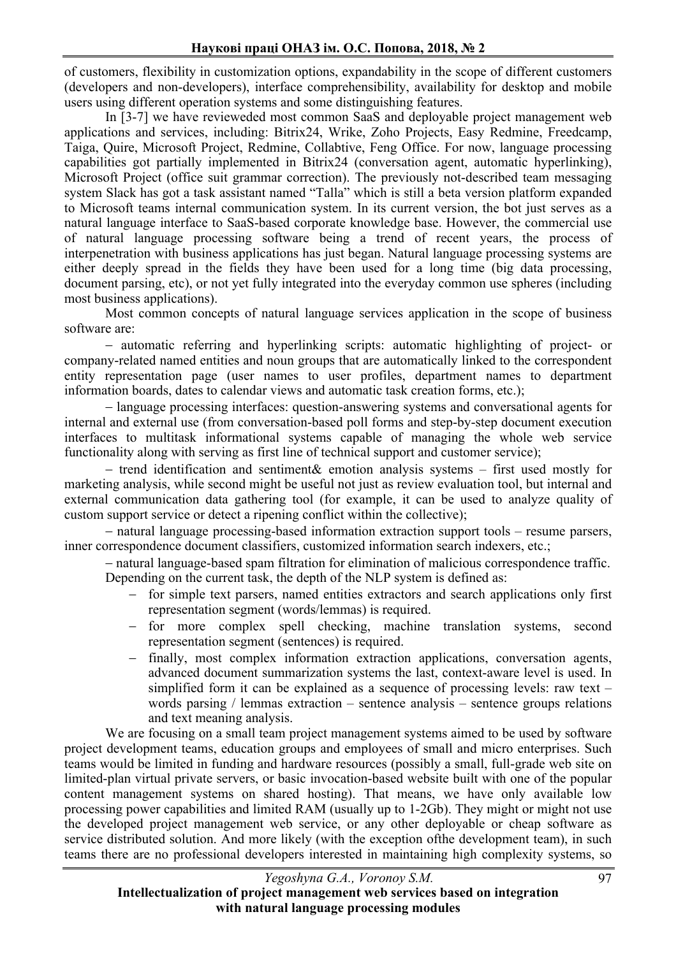of customers, flexibility in customization options, expandability in the scope of different customers (developers and non-developers), interface comprehensibility, availability for desktop and mobile users using different operation systems and some distinguishing features.

In [3-7] we have revieweded most common SaaS and deployable project management web applications and services, including: Bitrix24, Wrike, Zoho Projects, Easy Redmine, Freedcamp, Taiga, Quire, Microsoft Project, Redmine, Collabtive, Feng Office. For now, language processing capabilities got partially implemented in Bitrix24 (conversation agent, automatic hyperlinking), Microsoft Project (office suit grammar correction). The previously not-described team messaging system Slack has got a task assistant named "Talla" which is still a beta version platform expanded to Microsoft teams internal communication system. In its current version, the bot just serves as a natural language interface to SaaS-based corporate knowledge base. However, the commercial use of natural language processing software being a trend of recent years, the process of interpenetration with business applications has just began. Natural language processing systems are either deeply spread in the fields they have been used for a long time (big data processing, document parsing, etc), or not yet fully integrated into the everyday common use spheres (including most business applications).

Most common concepts of natural language services application in the scope of business software are:

- automatic referring and hyperlinking scripts: automatic highlighting of project- or company-related named entities and noun groups that are automatically linked to the correspondent entity representation page (user names to user profiles, department names to department information boards, dates to calendar views and automatic task creation forms, etc.);

- language processing interfaces: question-answering systems and conversational agents for internal and external use (from conversation-based poll forms and step-by-step document execution interfaces to multitask informational systems capable of managing the whole web service functionality along with serving as first line of technical support and customer service);

- trend identification and sentiment& emotion analysis systems – first used mostly for marketing analysis, while second might be useful not just as review evaluation tool, but internal and external communication data gathering tool (for example, it can be used to analyze quality of custom support service or detect a ripening conflict within the collective);

- natural language processing-based information extraction support tools – resume parsers, inner correspondence document classifiers, customized information search indexers, etc.;

- natural language-based spam filtration for elimination of malicious correspondence traffic. Depending on the current task, the depth of the NLP system is defined as:

- for simple text parsers, named entities extractors and search applications only first representation segment (words/lemmas) is required.
- for more complex spell checking, machine translation systems, second representation segment (sentences) is required.
- finally, most complex information extraction applications, conversation agents, advanced document summarization systems the last, context-aware level is used. In simplified form it can be explained as a sequence of processing levels: raw text – words parsing / lemmas extraction – sentence analysis – sentence groups relations and text meaning analysis.

We are focusing on a small team project management systems aimed to be used by software project development teams, education groups and employees of small and micro enterprises. Such teams would be limited in funding and hardware resources (possibly a small, full-grade web site on limited-plan virtual private servers, or basic invocation-based website built with one of the popular content management systems on shared hosting). That means, we have only available low processing power capabilities and limited RAM (usually up to 1-2Gb). They might or might not use the developed project management web service, or any other deployable or cheap software as service distributed solution. And more likely (with the exception ofthe development team), in such teams there are no professional developers interested in maintaining high complexity systems, so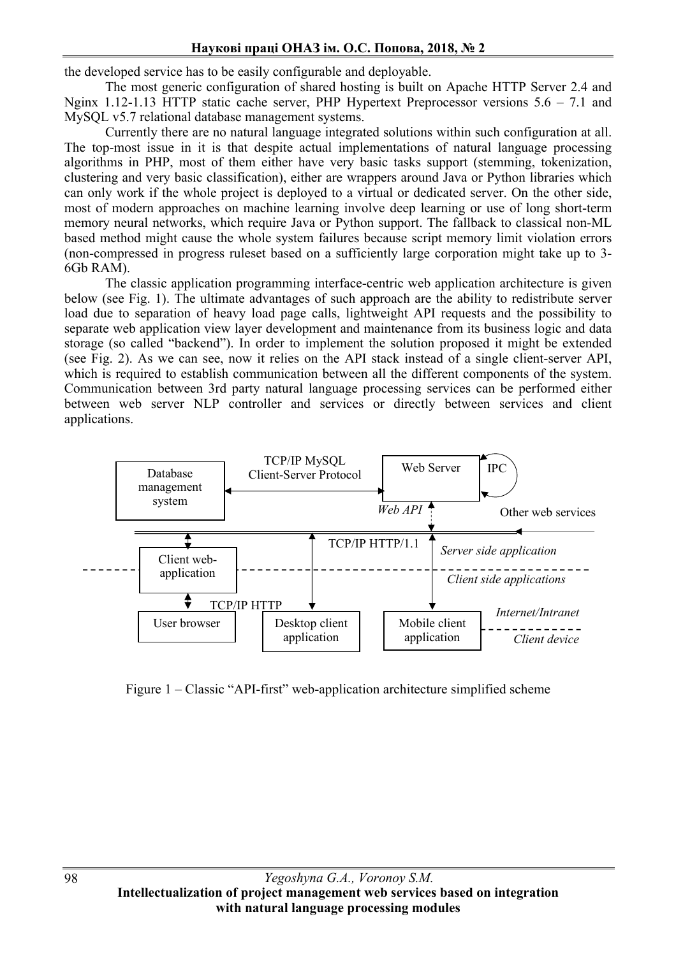the developed service has to be easily configurable and deployable.

The most generic configuration of shared hosting is built on Apache HTTP Server 2.4 and Nginx 1.12-1.13 HTTP static cache server, PHP Hypertext Preprocessor versions 5.6 – 7.1 and MySQL v5.7 relational database management systems.

Currently there are no natural language integrated solutions within such configuration at all. The top-most issue in it is that despite actual implementations of natural language processing algorithms in PHP, most of them either have very basic tasks support (stemming, tokenization, clustering and very basic classification), either are wrappers around Java or Python libraries which can only work if the whole project is deployed to a virtual or dedicated server. On the other side, most of modern approaches on machine learning involve deep learning or use of long short-term memory neural networks, which require Java or Python support. The fallback to classical non-ML based method might cause the whole system failures because script memory limit violation errors (non-compressed in progress ruleset based on a sufficiently large corporation might take up to 3- 6Gb RAM).

The classic application programming interface-centric web application architecture is given below (see Fig. 1). The ultimate advantages of such approach are the ability to redistribute server load due to separation of heavy load page calls, lightweight API requests and the possibility to separate web application view layer development and maintenance from its business logic and data storage (so called "backend"). In order to implement the solution proposed it might be extended (see Fig. 2). As we can see, now it relies on the API stack instead of a single client-server API, which is required to establish communication between all the different components of the system. Communication between 3rd party natural language processing services can be performed either between web server NLP controller and services or directly between services and client applications.



Figure 1 – Classic "API-first" web-application architecture simplified scheme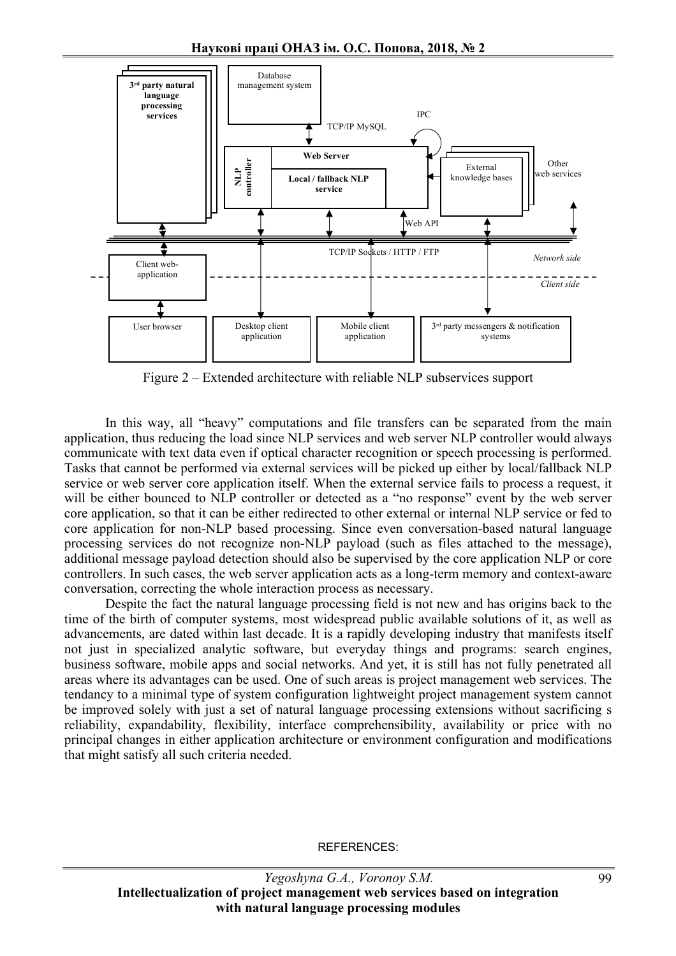

Figure 2 – Extended architecture with reliable NLP subservices support

In this way, all "heavy" computations and file transfers can be separated from the main application, thus reducing the load since NLP services and web server NLP controller would always communicate with text data even if optical character recognition or speech processing is performed. Tasks that cannot be performed via external services will be picked up either by local/fallback NLP service or web server core application itself. When the external service fails to process a request, it will be either bounced to NLP controller or detected as a "no response" event by the web server core application, so that it can be either redirected to other external or internal NLP service or fed to core application for non-NLP based processing. Since even conversation-based natural language processing services do not recognize non-NLP payload (such as files attached to the message), additional message payload detection should also be supervised by the core application NLP or core controllers. In such cases, the web server application acts as a long-term memory and context-aware conversation, correcting the whole interaction process as necessary.

Despite the fact the natural language processing field is not new and has origins back to the time of the birth of computer systems, most widespread public available solutions of it, as well as advancements, are dated within last decade. It is a rapidly developing industry that manifests itself not just in specialized analytic software, but everyday things and programs: search engines, business software, mobile apps and social networks. And yet, it is still has not fully penetrated all areas where its advantages can be used. One of such areas is project management web services. The tendancy to a minimal type of system configuration lightweight project management system cannot be improved solely with just a set of natural language processing extensions without sacrificing s reliability, expandability, flexibility, interface comprehensibility, availability or price with no principal changes in either application architecture or environment configuration and modifications that might satisfy all such criteria needed.

REFERENCES: